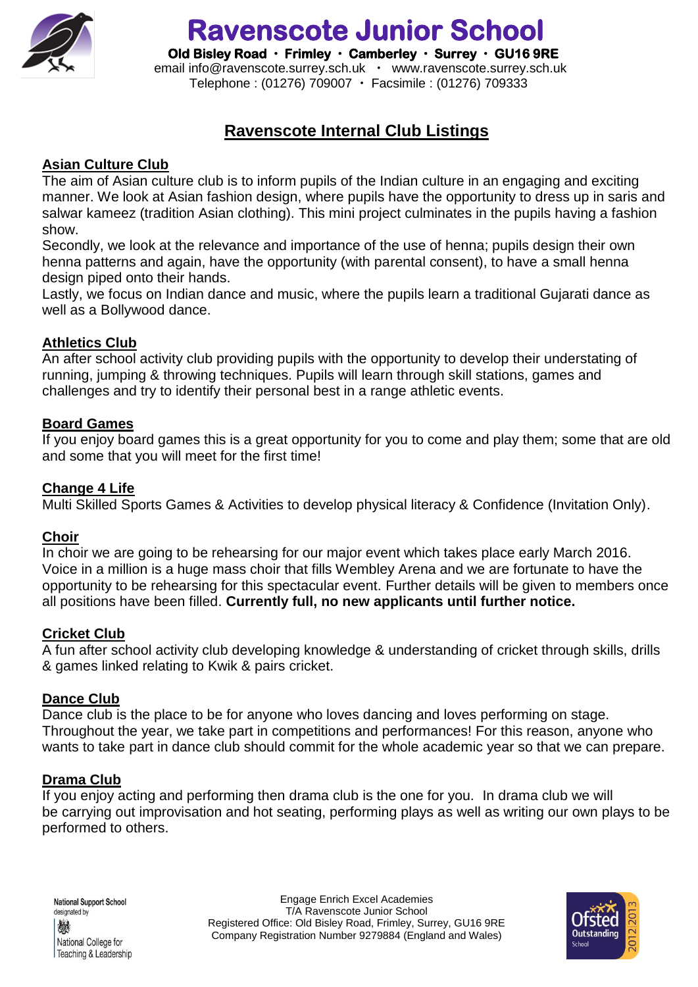

 **Ravenscote Junior School** 

 **Old Bisley Road Frimley Camberley Surrey GU16 9RE** 

 email [info@ravenscote.surrey.sch.uk](mailto:info@ravenscote.surrey.sch.uk)  [www.ravenscote.surrey.sch.uk](http://www.ravenscote.surrey.sch.uk/) Telephone : (01276) 709007 Facsimile : (01276) 709333

# **Ravenscote Internal Club Listings**

# **Asian Culture Club**

The aim of Asian culture club is to inform pupils of the Indian culture in an engaging and exciting manner. We look at Asian fashion design, where pupils have the opportunity to dress up in saris and salwar kameez (tradition Asian clothing). This mini project culminates in the pupils having a fashion show.

Secondly, we look at the relevance and importance of the use of henna; pupils design their own henna patterns and again, have the opportunity (with parental consent), to have a small henna design piped onto their hands.

Lastly, we focus on Indian dance and music, where the pupils learn a traditional Gujarati dance as well as a Bollywood dance.

### **Athletics Club**

An after school activity club providing pupils with the opportunity to develop their understating of running, jumping & throwing techniques. Pupils will learn through skill stations, games and challenges and try to identify their personal best in a range athletic events.

### **Board Games**

If you enjoy board games this is a great opportunity for you to come and play them; some that are old and some that you will meet for the first time!

### **Change 4 Life**

Multi Skilled Sports Games & Activities to develop physical literacy & Confidence (Invitation Only).

### **Choir**

In choir we are going to be rehearsing for our major event which takes place early March 2016. Voice in a million is a huge mass choir that fills Wembley Arena and we are fortunate to have the opportunity to be rehearsing for this spectacular event. Further details will be given to members once all positions have been filled. **Currently full, no new applicants until further notice.**

### **Cricket Club**

A fun after school activity club developing knowledge & understanding of cricket through skills, drills & games linked relating to Kwik & pairs cricket.

### **Dance Club**

Dance club is the place to be for anyone who loves dancing and loves performing on stage. Throughout the year, we take part in competitions and performances! For this reason, anyone who wants to take part in dance club should commit for the whole academic year so that we can prepare.

### **Drama Club**

If you enjoy acting and performing then drama club is the one for you. In drama club we will be carrying out improvisation and hot seating, performing plays as well as writing our own plays to be performed to others.

**National Support School** designated by

嫐 National College for Teaching & Leadership

Engage Enrich Excel Academies T/A Ravenscote Junior School Registered Office: Old Bisley Road, Frimley, Surrey, GU16 9RE Company Registration Number 9279884 (England and Wales)

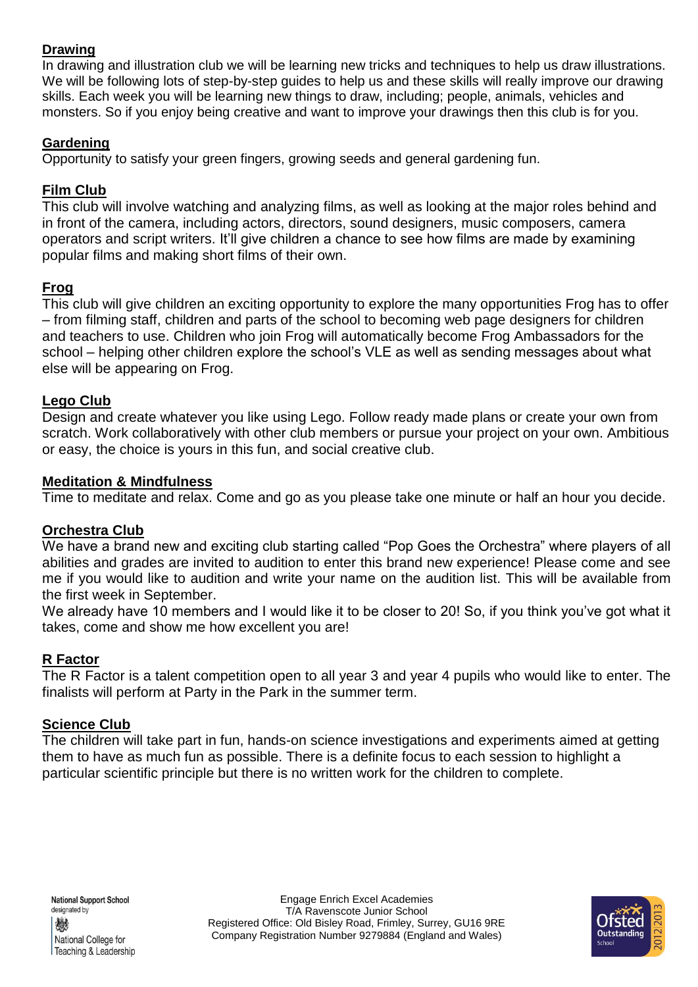### **Drawing**

In drawing and illustration club we will be learning new tricks and techniques to help us draw illustrations. We will be following lots of step-by-step guides to help us and these skills will really improve our drawing skills. Each week you will be learning new things to draw, including; people, animals, vehicles and monsters. So if you enjoy being creative and want to improve your drawings then this club is for you.

# **Gardening**

Opportunity to satisfy your green fingers, growing seeds and general gardening fun.

# **Film Club**

This club will involve watching and analyzing films, as well as looking at the major roles behind and in front of the camera, including actors, directors, sound designers, music composers, camera operators and script writers. It'll give children a chance to see how films are made by examining popular films and making short films of their own.

# **Frog**

This club will give children an exciting opportunity to explore the many opportunities Frog has to offer – from filming staff, children and parts of the school to becoming web page designers for children and teachers to use. Children who join Frog will automatically become Frog Ambassadors for the school – helping other children explore the school's VLE as well as sending messages about what else will be appearing on Frog.

# **Lego Club**

Design and create whatever you like using Lego. Follow ready made plans or create your own from scratch. Work collaboratively with other club members or pursue your project on your own. Ambitious or easy, the choice is yours in this fun, and social creative club.

# **Meditation & Mindfulness**

Time to meditate and relax. Come and go as you please take one minute or half an hour you decide.

# **Orchestra Club**

We have a brand new and exciting club starting called "Pop Goes the Orchestra" where players of all abilities and grades are invited to audition to enter this brand new experience! Please come and see me if you would like to audition and write your name on the audition list. This will be available from the first week in September.

We already have 10 members and I would like it to be closer to 20! So, if you think you've got what it takes, come and show me how excellent you are!

# **R Factor**

The R Factor is a talent competition open to all year 3 and year 4 pupils who would like to enter. The finalists will perform at Party in the Park in the summer term.

# **Science Club**

The children will take part in fun, hands-on science investigations and experiments aimed at getting them to have as much fun as possible. There is a definite focus to each session to highlight a particular scientific principle but there is no written work for the children to complete.

National College for Teaching & Leadership